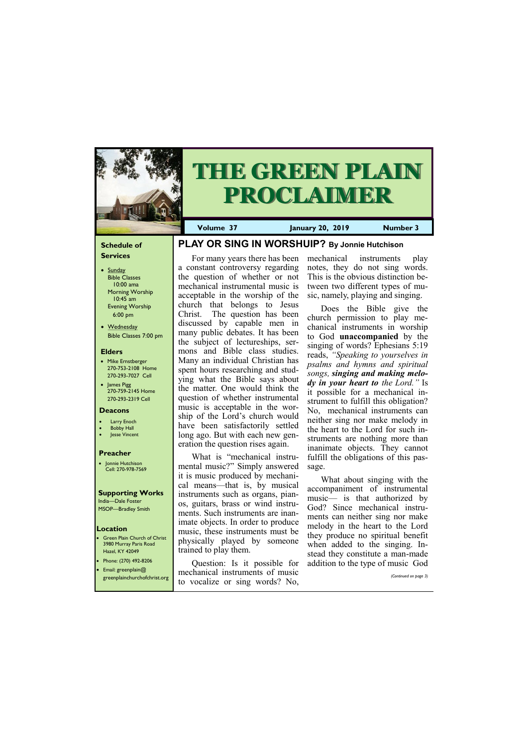#### **Schedule of Services**

- Sunday Bible Classes 10:00 ama Morning Worship 10:45 am Evening Worship 6:00 pm
- Wednesday Bible Classes 7:00 pm

#### **Elders**

- Mike Ernstberger 270-753-2108 Home 270-293-7027 Cell
- James Pigg 270-759-2145 Home 270-293-2319 Cell

- **Larry Enoch**
- **Bobby Hall**
- Jesse Vincent

#### **Location**



# **THE GREEN PLAIN PROCLAIMER**

**Volume 37 January 20, 2019 Number 3**

#### **Deacons**

#### **Preacher**

• Jonnie Hutchison Cell: 270-978-7569

#### **Supporting Works**

India—Dale Foster MSOP—Bradley Smith **PLAY OR SING IN WORSHUIP? By Jonnie Hutchison**

- Green Plain Church of Christ 3980 Murray Paris Road Hazel, KY 42049 • Phone: (270) 492-8206
	- Question: Is it possible for

For many years there has been a constant controversy regarding the question of whether or not mechanical instrumental music is acceptable in the worship of the church that belongs to Jesus Christ. The question has been discussed by capable men in many public debates. It has been the subject of lectureships, sermons and Bible class studies. Many an individual Christian has spent hours researching and studying what the Bible says about the matter. One would think the question of whether instrumental music is acceptable in the worship of the Lord's church would have been satisfactorily settled long ago. But with each new generation the question rises again.

What is "mechanical instrumental music?" Simply answered it is music produced by mechanical means—that is, by musical instruments such as organs, pianos, guitars, brass or wind instruments. Such instruments are inanimate objects. In order to produce music, these instruments must be physically played by someone

| • Email: greenplain $@$ | mechanical instruments of music                             | Question. is it possible for addition to the type of music God |
|-------------------------|-------------------------------------------------------------|----------------------------------------------------------------|
|                         | greenplainchurchofchrist.org to vocalize or sing words? No. | (Continued on page 3)                                          |

trained to play them.

### mechanical instruments play notes, they do not sing words. This is the obvious distinction between two different types of music, namely, playing and singing.

Does the Bible give the church permission to play mechanical instruments in worship to God **unaccompanied** by the singing of words? Ephesians 5:19 reads, *"Speaking to yourselves in psalms and hymns and spiritual songs, singing and making melody in your heart to the Lord."* Is it possible for a mechanical instrument to fulfill this obligation? No, mechanical instruments can neither sing nor make melody in the heart to the Lord for such instruments are nothing more than inanimate objects. They cannot fulfill the obligations of this passage.

What about singing with the accompaniment of instrumental music— is that authorized by God? Since mechanical instruments can neither sing nor make melody in the heart to the Lord they produce no spiritual benefit when added to the singing. Instead they constitute a man-made addition to the type of music God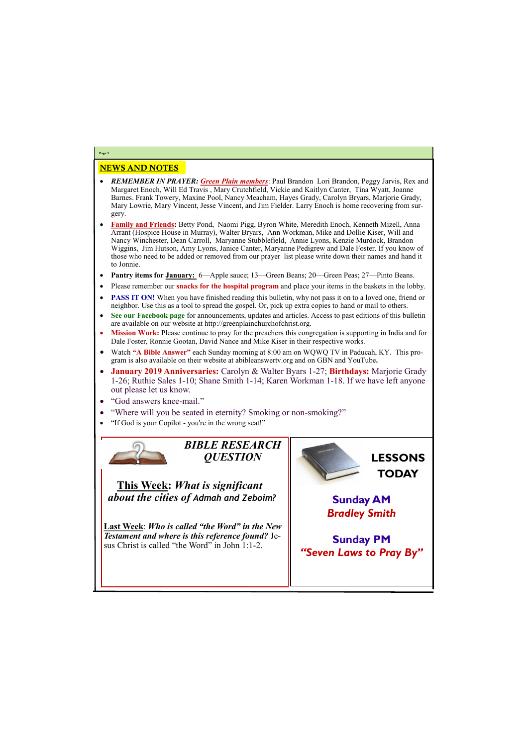# NEWS AND NOTES

- *REMEMBER IN PRAYER: Green Plain members*: Paul Brandon Lori Brandon, Peggy Jarvis, Rex and Margaret Enoch, Will Ed Travis , Mary Crutchfield, Vickie and Kaitlyn Canter, Tina Wyatt, Joanne Barnes. Frank Towery, Maxine Pool, Nancy Meacham, Hayes Grady, Carolyn Bryars, Marjorie Grady, Mary Lowrie, Mary Vincent, Jesse Vincent, and Jim Fielder. Larry Enoch is home recovering from surgery.
- **Family and Friends:** Betty Pond, Naomi Pigg, Byron White, Meredith Enoch, Kenneth Mizell, Anna Arrant (Hospice House in Murray), Walter Bryars, Ann Workman, Mike and Dollie Kiser, Will and Nancy Winchester, Dean Carroll, Maryanne Stubblefield, Annie Lyons, Kenzie Murdock, Brandon Wiggins, Jim Hutson, Amy Lyons, Janice Canter, Maryanne Pedigrew and Dale Foster. If you know of those who need to be added or removed from our prayer list please write down their names and hand it to Jonnie.
- **Pantry items for January:** 6—Apple sauce; 13—Green Beans; 20—Green Peas; 27—Pinto Beans.
- Please remember our **snacks for the hospital program** and place your items in the baskets in the lobby.
- **PASS IT ON!** When you have finished reading this bulletin, why not pass it on to a loved one, friend or neighbor. Use this as a tool to spread the gospel. Or, pick up extra copies to hand or mail to others.
- **See our Facebook page** for announcements, updates and articles. Access to past editions of this bulletin are available on our website at http://greenplainchurchofchrist.org.
- **Mission Work:** Please continue to pray for the preachers this congregation is supporting in India and for Dale Foster, Ronnie Gootan, David Nance and Mike Kiser in their respective works.
- Watch **"A Bible Answer"** each Sunday morning at 8:00 am on WQWQ TV in Paducah, KY. This program is also available on their website at abibleanswertv.org and on GBN and YouTube**.**
- **January 2019 Anniversaries:** Carolyn & Walter Byars 1-27; **Birthdays:** Marjorie Grady 1-26; Ruthie Sales 1-10; Shane Smith 1-14; Karen Workman 1-18. If we have left anyone out please let us know.
- "God answers knee-mail."
- "Where will you be seated in eternity? Smoking or non-smoking?"
- "If God is your Copilot you're in the wrong seat!"



**Page 2**

*BIBLE RESEARCH QUESTION*

**This Week:** *What is significant about the cities of Admah and Zeboim?* 

**Last Week**: *Who is called "the Word" in the New Testament and where is this reference found?* Jesus Christ is called "the Word" in John 1:1-2.



**LESSONS TODAY**

**Sunday AM** *Bradley Smith*

**Sunday PM** *"Seven Laws to Pray By"*

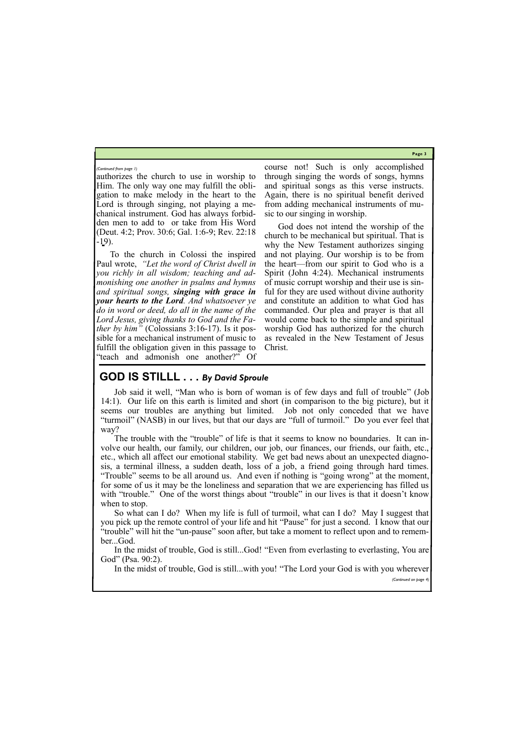**Page 3**

authorizes the church to use in worship to Him. The only way one may fulfill the obligation to make melody in the heart to the Lord is through singing, not playing a mechanical instrument. God has always forbidden men to add to or take from His Word (Deut. 4:2; Prov. 30:6; Gal. 1:6-9; Rev. 22:18  $-19$ ).

To the church in Colossi the inspired Paul wrote, *"Let the word of Christ dwell in you richly in all wisdom; teaching and admonishing one another in psalms and hymns and spiritual songs, singing with grace in your hearts to the Lord. And whatsoever ye do in word or deed, do all in the name of the Lord Jesus, giving thanks to God and the Father by him"* (Colossians 3:16-17). Is it possible for a mechanical instrument of music to fulfill the obligation given in this passage to "teach and admonish one another?" Of

course not! Such is only accomplished through singing the words of songs, hymns and spiritual songs as this verse instructs. Again, there is no spiritual benefit derived from adding mechanical instruments of music to our singing in worship.

God does not intend the worship of the church to be mechanical but spiritual. That is why the New Testament authorizes singing and not playing. Our worship is to be from the heart—from our spirit to God who is a Spirit (John 4:24). Mechanical instruments of music corrupt worship and their use is sinful for they are used without divine authority and constitute an addition to what God has commanded. Our plea and prayer is that all would come back to the simple and spiritual worship God has authorized for the church as revealed in the New Testament of Jesus Christ.

In the midst of trouble, God is still...God! "Even from everlasting to everlasting, You are God" (Psa. 90:2).

#### *(Continued from page 1)*

# **GOD IS STILLL . . .** *By David Sproule*

Job said it well, "Man who is born of woman is of few days and full of trouble" (Job 14:1). Our life on this earth is limited and short (in comparison to the big picture), but it seems our troubles are anything but limited. Job not only conceded that we have "turmoil" (NASB) in our lives, but that our days are "full of turmoil." Do you ever feel that way?

The trouble with the "trouble" of life is that it seems to know no boundaries. It can involve our health, our family, our children, our job, our finances, our friends, our faith, etc., etc., which all affect our emotional stability. We get bad news about an unexpected diagnosis, a terminal illness, a sudden death, loss of a job, a friend going through hard times. "Trouble" seems to be all around us. And even if nothing is "going wrong" at the moment, for some of us it may be the loneliness and separation that we are experiencing has filled us with "trouble." One of the worst things about "trouble" in our lives is that it doesn't know when to stop.

So what can I do? When my life is full of turmoil, what can I do? May I suggest that you pick up the remote control of your life and hit "Pause" for just a second. I know that our "trouble" will hit the "un-pause" soon after, but take a moment to reflect upon and to remember...God.

In the midst of trouble, God is still...with you! "The Lord your God is with you wherever

*(Continued on page 4)*